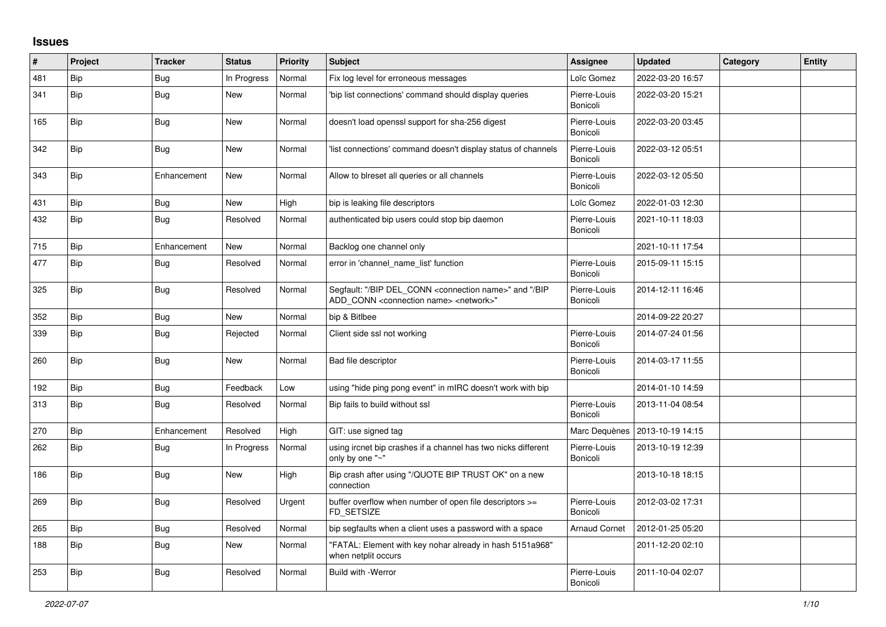## **Issues**

| #   | Project    | <b>Tracker</b> | <b>Status</b> | <b>Priority</b> | <b>Subject</b>                                                                                                                            | Assignee                 | <b>Updated</b>   | Category | <b>Entity</b> |
|-----|------------|----------------|---------------|-----------------|-------------------------------------------------------------------------------------------------------------------------------------------|--------------------------|------------------|----------|---------------|
| 481 | <b>Bip</b> | Bug            | In Progress   | Normal          | Fix log level for erroneous messages                                                                                                      | Loïc Gomez               | 2022-03-20 16:57 |          |               |
| 341 | Bip        | <b>Bug</b>     | <b>New</b>    | Normal          | 'bip list connections' command should display queries                                                                                     | Pierre-Louis<br>Bonicoli | 2022-03-20 15:21 |          |               |
| 165 | Bip        | <b>Bug</b>     | New           | Normal          | doesn't load openssl support for sha-256 digest                                                                                           | Pierre-Louis<br>Bonicoli | 2022-03-20 03:45 |          |               |
| 342 | Bip        | <b>Bug</b>     | New           | Normal          | 'list connections' command doesn't display status of channels                                                                             | Pierre-Louis<br>Bonicoli | 2022-03-12 05:51 |          |               |
| 343 | Bip        | Enhancement    | New           | Normal          | Allow to blreset all queries or all channels                                                                                              | Pierre-Louis<br>Bonicoli | 2022-03-12 05:50 |          |               |
| 431 | Bip        | <b>Bug</b>     | New           | High            | bip is leaking file descriptors                                                                                                           | Loïc Gomez               | 2022-01-03 12:30 |          |               |
| 432 | Bip        | <b>Bug</b>     | Resolved      | Normal          | authenticated bip users could stop bip daemon                                                                                             | Pierre-Louis<br>Bonicoli | 2021-10-11 18:03 |          |               |
| 715 | Bip        | Enhancement    | <b>New</b>    | Normal          | Backlog one channel only                                                                                                                  |                          | 2021-10-11 17:54 |          |               |
| 477 | Bip        | Bug            | Resolved      | Normal          | error in 'channel name list' function                                                                                                     | Pierre-Louis<br>Bonicoli | 2015-09-11 15:15 |          |               |
| 325 | <b>Bip</b> | Bug            | Resolved      | Normal          | Segfault: "/BIP DEL_CONN <connection name="">" and "/BIP<br/>ADD CONN <connection name=""> <network>"</network></connection></connection> | Pierre-Louis<br>Bonicoli | 2014-12-11 16:46 |          |               |
| 352 | Bip        | <b>Bug</b>     | New           | Normal          | bip & Bitlbee                                                                                                                             |                          | 2014-09-22 20:27 |          |               |
| 339 | Bip        | Bug            | Rejected      | Normal          | Client side ssl not working                                                                                                               | Pierre-Louis<br>Bonicoli | 2014-07-24 01:56 |          |               |
| 260 | Bip        | Bug            | New           | Normal          | Bad file descriptor                                                                                                                       | Pierre-Louis<br>Bonicoli | 2014-03-17 11:55 |          |               |
| 192 | Bip        | <b>Bug</b>     | Feedback      | Low             | using "hide ping pong event" in mIRC doesn't work with bip                                                                                |                          | 2014-01-10 14:59 |          |               |
| 313 | Bip        | Bug            | Resolved      | Normal          | Bip fails to build without ssl                                                                                                            | Pierre-Louis<br>Bonicoli | 2013-11-04 08:54 |          |               |
| 270 | Bip        | Enhancement    | Resolved      | High            | GIT: use signed tag                                                                                                                       | Marc Dequènes            | 2013-10-19 14:15 |          |               |
| 262 | Bip        | Bug            | In Progress   | Normal          | using ircnet bip crashes if a channel has two nicks different<br>only by one "~"                                                          | Pierre-Louis<br>Bonicoli | 2013-10-19 12:39 |          |               |
| 186 | Bip        | <b>Bug</b>     | New           | High            | Bip crash after using "/QUOTE BIP TRUST OK" on a new<br>connection                                                                        |                          | 2013-10-18 18:15 |          |               |
| 269 | <b>Bip</b> | <b>Bug</b>     | Resolved      | Urgent          | buffer overflow when number of open file descriptors >=<br>FD SETSIZE                                                                     | Pierre-Louis<br>Bonicoli | 2012-03-02 17:31 |          |               |
| 265 | Bip        | <b>Bug</b>     | Resolved      | Normal          | bip segfaults when a client uses a password with a space                                                                                  | <b>Arnaud Cornet</b>     | 2012-01-25 05:20 |          |               |
| 188 | Bip        | Bug            | New           | Normal          | "FATAL: Element with key nohar already in hash 5151a968"<br>when netplit occurs                                                           |                          | 2011-12-20 02:10 |          |               |
| 253 | Bip        | Bug            | Resolved      | Normal          | <b>Build with -Werror</b>                                                                                                                 | Pierre-Louis<br>Bonicoli | 2011-10-04 02:07 |          |               |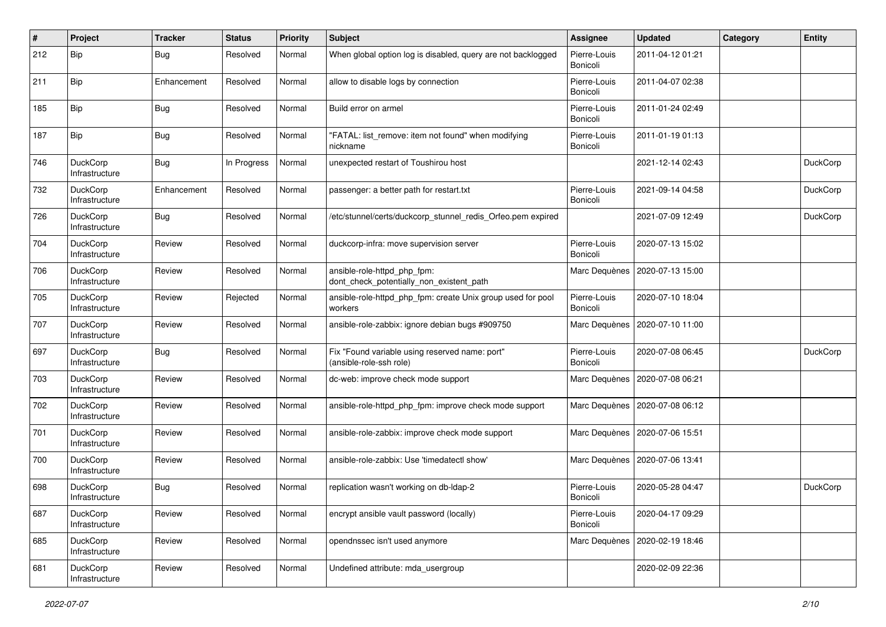| $\#$ | Project                           | <b>Tracker</b> | <b>Status</b> | <b>Priority</b> | <b>Subject</b>                                                            | <b>Assignee</b>          | <b>Updated</b>   | Category | <b>Entity</b>   |
|------|-----------------------------------|----------------|---------------|-----------------|---------------------------------------------------------------------------|--------------------------|------------------|----------|-----------------|
| 212  | <b>Bip</b>                        | Bug            | Resolved      | Normal          | When global option log is disabled, query are not backlogged              | Pierre-Louis<br>Bonicoli | 2011-04-12 01:21 |          |                 |
| 211  | <b>Bip</b>                        | Enhancement    | Resolved      | Normal          | allow to disable logs by connection                                       | Pierre-Louis<br>Bonicoli | 2011-04-07 02:38 |          |                 |
| 185  | <b>Bip</b>                        | Bug            | Resolved      | Normal          | Build error on armel                                                      | Pierre-Louis<br>Bonicoli | 2011-01-24 02:49 |          |                 |
| 187  | <b>Bip</b>                        | <b>Bug</b>     | Resolved      | Normal          | "FATAL: list_remove: item not found" when modifying<br>nickname           | Pierre-Louis<br>Bonicoli | 2011-01-19 01:13 |          |                 |
| 746  | DuckCorp<br>Infrastructure        | Bug            | In Progress   | Normal          | unexpected restart of Toushirou host                                      |                          | 2021-12-14 02:43 |          | <b>DuckCorp</b> |
| 732  | DuckCorp<br>Infrastructure        | Enhancement    | Resolved      | Normal          | passenger: a better path for restart.txt                                  | Pierre-Louis<br>Bonicoli | 2021-09-14 04:58 |          | <b>DuckCorp</b> |
| 726  | DuckCorp<br>Infrastructure        | Bug            | Resolved      | Normal          | /etc/stunnel/certs/duckcorp_stunnel_redis_Orfeo.pem expired               |                          | 2021-07-09 12:49 |          | <b>DuckCorp</b> |
| 704  | DuckCorp<br>Infrastructure        | Review         | Resolved      | Normal          | duckcorp-infra: move supervision server                                   | Pierre-Louis<br>Bonicoli | 2020-07-13 15:02 |          |                 |
| 706  | DuckCorp<br>Infrastructure        | Review         | Resolved      | Normal          | ansible-role-httpd_php_fpm:<br>dont_check_potentially_non_existent_path   | Marc Dequènes            | 2020-07-13 15:00 |          |                 |
| 705  | DuckCorp<br>Infrastructure        | Review         | Rejected      | Normal          | ansible-role-httpd php fpm: create Unix group used for pool<br>workers    | Pierre-Louis<br>Bonicoli | 2020-07-10 18:04 |          |                 |
| 707  | DuckCorp<br>Infrastructure        | Review         | Resolved      | Normal          | ansible-role-zabbix: ignore debian bugs #909750                           | Marc Dequènes            | 2020-07-10 11:00 |          |                 |
| 697  | DuckCorp<br>Infrastructure        | Bug            | Resolved      | Normal          | Fix "Found variable using reserved name: port"<br>(ansible-role-ssh role) | Pierre-Louis<br>Bonicoli | 2020-07-08 06:45 |          | DuckCorp        |
| 703  | DuckCorp<br>Infrastructure        | Review         | Resolved      | Normal          | dc-web: improve check mode support                                        | Marc Dequènes            | 2020-07-08 06:21 |          |                 |
| 702  | DuckCorp<br>Infrastructure        | Review         | Resolved      | Normal          | ansible-role-httpd_php_fpm: improve check mode support                    | Marc Dequènes            | 2020-07-08 06:12 |          |                 |
| 701  | DuckCorp<br>Infrastructure        | Review         | Resolved      | Normal          | ansible-role-zabbix: improve check mode support                           | Marc Dequènes            | 2020-07-06 15:51 |          |                 |
| 700  | DuckCorp<br>Infrastructure        | Review         | Resolved      | Normal          | ansible-role-zabbix: Use 'timedatectl show'                               | Marc Dequènes            | 2020-07-06 13:41 |          |                 |
| 698  | <b>DuckCorp</b><br>Infrastructure | Bug            | Resolved      | Normal          | replication wasn't working on db-Idap-2                                   | Pierre-Louis<br>Bonicoli | 2020-05-28 04:47 |          | <b>DuckCorp</b> |
| 687  | DuckCorp<br>Infrastructure        | Review         | Resolved      | Normal          | encrypt ansible vault password (locally)                                  | Pierre-Louis<br>Bonicoli | 2020-04-17 09:29 |          |                 |
| 685  | DuckCorp<br>Infrastructure        | Review         | Resolved      | Normal          | opendnssec isn't used anymore                                             | Marc Dequènes            | 2020-02-19 18:46 |          |                 |
| 681  | DuckCorp<br>Infrastructure        | Review         | Resolved      | Normal          | Undefined attribute: mda usergroup                                        |                          | 2020-02-09 22:36 |          |                 |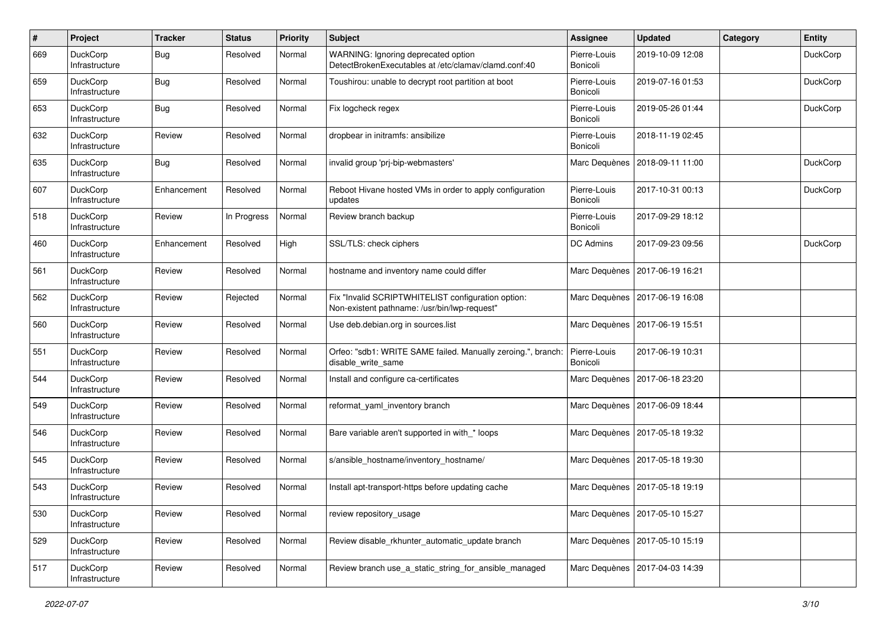| $\#$ | Project                           | <b>Tracker</b> | <b>Status</b> | <b>Priority</b> | <b>Subject</b>                                                                                     | <b>Assignee</b>          | <b>Updated</b>                   | Category | <b>Entity</b>   |
|------|-----------------------------------|----------------|---------------|-----------------|----------------------------------------------------------------------------------------------------|--------------------------|----------------------------------|----------|-----------------|
| 669  | DuckCorp<br>Infrastructure        | Bug            | Resolved      | Normal          | WARNING: Ignoring deprecated option<br>DetectBrokenExecutables at /etc/clamav/clamd.conf:40        | Pierre-Louis<br>Bonicoli | 2019-10-09 12:08                 |          | DuckCorp        |
| 659  | <b>DuckCorp</b><br>Infrastructure | Bug            | Resolved      | Normal          | Toushirou: unable to decrypt root partition at boot                                                | Pierre-Louis<br>Bonicoli | 2019-07-16 01:53                 |          | <b>DuckCorp</b> |
| 653  | DuckCorp<br>Infrastructure        | Bug            | Resolved      | Normal          | Fix logcheck regex                                                                                 | Pierre-Louis<br>Bonicoli | 2019-05-26 01:44                 |          | DuckCorp        |
| 632  | <b>DuckCorp</b><br>Infrastructure | Review         | Resolved      | Normal          | dropbear in initramfs: ansibilize                                                                  | Pierre-Louis<br>Bonicoli | 2018-11-19 02:45                 |          |                 |
| 635  | DuckCorp<br>Infrastructure        | Bug            | Resolved      | Normal          | invalid group 'prj-bip-webmasters'                                                                 | Marc Dequènes            | 2018-09-11 11:00                 |          | <b>DuckCorp</b> |
| 607  | DuckCorp<br>Infrastructure        | Enhancement    | Resolved      | Normal          | Reboot Hivane hosted VMs in order to apply configuration<br>updates                                | Pierre-Louis<br>Bonicoli | 2017-10-31 00:13                 |          | DuckCorp        |
| 518  | DuckCorp<br>Infrastructure        | Review         | In Progress   | Normal          | Review branch backup                                                                               | Pierre-Louis<br>Bonicoli | 2017-09-29 18:12                 |          |                 |
| 460  | DuckCorp<br>Infrastructure        | Enhancement    | Resolved      | High            | SSL/TLS: check ciphers                                                                             | DC Admins                | 2017-09-23 09:56                 |          | DuckCorp        |
| 561  | DuckCorp<br>Infrastructure        | Review         | Resolved      | Normal          | hostname and inventory name could differ                                                           | Marc Dequènes            | 2017-06-19 16:21                 |          |                 |
| 562  | DuckCorp<br>Infrastructure        | Review         | Rejected      | Normal          | Fix "Invalid SCRIPTWHITELIST configuration option:<br>Non-existent pathname: /usr/bin/lwp-request" | Marc Dequènes            | 2017-06-19 16:08                 |          |                 |
| 560  | <b>DuckCorp</b><br>Infrastructure | Review         | Resolved      | Normal          | Use deb.debian.org in sources.list                                                                 |                          | Marc Dequènes   2017-06-19 15:51 |          |                 |
| 551  | DuckCorp<br>Infrastructure        | Review         | Resolved      | Normal          | Orfeo: "sdb1: WRITE SAME failed. Manually zeroing.", branch:<br>disable write same                 | Pierre-Louis<br>Bonicoli | 2017-06-19 10:31                 |          |                 |
| 544  | DuckCorp<br>Infrastructure        | Review         | Resolved      | Normal          | Install and configure ca-certificates                                                              | Marc Dequènes            | 2017-06-18 23:20                 |          |                 |
| 549  | <b>DuckCorp</b><br>Infrastructure | Review         | Resolved      | Normal          | reformat_yaml_inventory branch                                                                     | Marc Dequènes            | 2017-06-09 18:44                 |          |                 |
| 546  | DuckCorp<br>Infrastructure        | Review         | Resolved      | Normal          | Bare variable aren't supported in with_* loops                                                     | Marc Dequènes            | 2017-05-18 19:32                 |          |                 |
| 545  | DuckCorp<br>Infrastructure        | Review         | Resolved      | Normal          | s/ansible_hostname/inventory_hostname/                                                             | Marc Dequènes            | 2017-05-18 19:30                 |          |                 |
| 543  | DuckCorp<br>Infrastructure        | Review         | Resolved      | Normal          | Install apt-transport-https before updating cache                                                  | Marc Dequènes            | 2017-05-18 19:19                 |          |                 |
| 530  | DuckCorp<br>Infrastructure        | Review         | Resolved      | Normal          | review repository usage                                                                            |                          | Marc Dequènes   2017-05-10 15:27 |          |                 |
| 529  | DuckCorp<br>Infrastructure        | Review         | Resolved      | Normal          | Review disable rkhunter automatic update branch                                                    | Marc Dequènes            | 2017-05-10 15:19                 |          |                 |
| 517  | DuckCorp<br>Infrastructure        | Review         | Resolved      | Normal          | Review branch use a static string for ansible managed                                              | Marc Dequènes            | 2017-04-03 14:39                 |          |                 |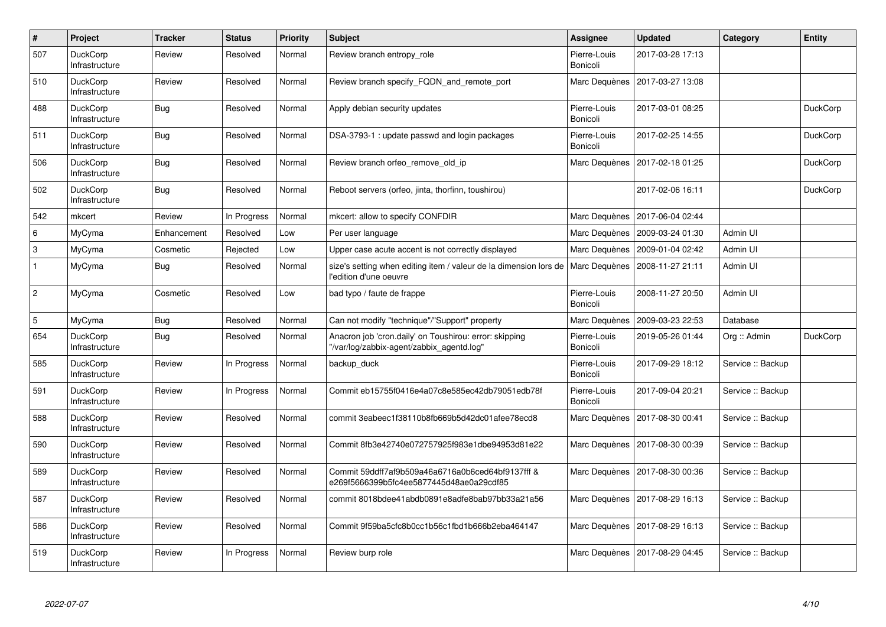| $\vert$ #                 | Project                           | <b>Tracker</b> | <b>Status</b> | <b>Priority</b> | <b>Subject</b>                                                                                      | Assignee                 | <b>Updated</b>   | Category          | Entity          |
|---------------------------|-----------------------------------|----------------|---------------|-----------------|-----------------------------------------------------------------------------------------------------|--------------------------|------------------|-------------------|-----------------|
| 507                       | <b>DuckCorp</b><br>Infrastructure | Review         | Resolved      | Normal          | Review branch entropy role                                                                          | Pierre-Louis<br>Bonicoli | 2017-03-28 17:13 |                   |                 |
| 510                       | <b>DuckCorp</b><br>Infrastructure | Review         | Resolved      | Normal          | Review branch specify_FQDN_and_remote_port                                                          | Marc Dequènes            | 2017-03-27 13:08 |                   |                 |
| 488                       | <b>DuckCorp</b><br>Infrastructure | Bug            | Resolved      | Normal          | Apply debian security updates                                                                       | Pierre-Louis<br>Bonicoli | 2017-03-01 08:25 |                   | <b>DuckCorp</b> |
| 511                       | <b>DuckCorp</b><br>Infrastructure | Bug            | Resolved      | Normal          | DSA-3793-1: update passwd and login packages                                                        | Pierre-Louis<br>Bonicoli | 2017-02-25 14:55 |                   | <b>DuckCorp</b> |
| 506                       | <b>DuckCorp</b><br>Infrastructure | <b>Bug</b>     | Resolved      | Normal          | Review branch orfeo remove old ip                                                                   | Marc Dequènes            | 2017-02-18 01:25 |                   | DuckCorp        |
| 502                       | <b>DuckCorp</b><br>Infrastructure | Bug            | Resolved      | Normal          | Reboot servers (orfeo, jinta, thorfinn, toushirou)                                                  |                          | 2017-02-06 16:11 |                   | <b>DuckCorp</b> |
| 542                       | mkcert                            | Review         | In Progress   | Normal          | mkcert: allow to specify CONFDIR                                                                    | Marc Dequènes            | 2017-06-04 02:44 |                   |                 |
| 6                         | MyCyma                            | Enhancement    | Resolved      | Low             | Per user language                                                                                   | Marc Dequènes            | 2009-03-24 01:30 | Admin UI          |                 |
| $\ensuremath{\mathsf{3}}$ | MyCyma                            | Cosmetic       | Rejected      | Low             | Upper case acute accent is not correctly displayed                                                  | Marc Dequènes            | 2009-01-04 02:42 | Admin UI          |                 |
| $\mathbf{1}$              | MyCyma                            | Bug            | Resolved      | Normal          | size's setting when editing item / valeur de la dimension lors de<br>l'edition d'une oeuvre         | Marc Dequènes            | 2008-11-27 21:11 | Admin UI          |                 |
| $\overline{2}$            | MyCyma                            | Cosmetic       | Resolved      | Low             | bad typo / faute de frappe                                                                          | Pierre-Louis<br>Bonicoli | 2008-11-27 20:50 | Admin UI          |                 |
| 5                         | MyCyma                            | Bug            | Resolved      | Normal          | Can not modify "technique"/"Support" property                                                       | Marc Dequènes            | 2009-03-23 22:53 | Database          |                 |
| 654                       | <b>DuckCorp</b><br>Infrastructure | Bug            | Resolved      | Normal          | Anacron job 'cron.daily' on Toushirou: error: skipping<br>"/var/log/zabbix-agent/zabbix_agentd.log" | Pierre-Louis<br>Bonicoli | 2019-05-26 01:44 | Org :: Admin      | <b>DuckCorp</b> |
| 585                       | <b>DuckCorp</b><br>Infrastructure | Review         | In Progress   | Normal          | backup duck                                                                                         | Pierre-Louis<br>Bonicoli | 2017-09-29 18:12 | Service :: Backup |                 |
| 591                       | <b>DuckCorp</b><br>Infrastructure | Review         | In Progress   | Normal          | Commit eb15755f0416e4a07c8e585ec42db79051edb78f                                                     | Pierre-Louis<br>Bonicoli | 2017-09-04 20:21 | Service :: Backup |                 |
| 588                       | <b>DuckCorp</b><br>Infrastructure | Review         | Resolved      | Normal          | commit 3eabeec1f38110b8fb669b5d42dc01afee78ecd8                                                     | Marc Dequènes            | 2017-08-30 00:41 | Service :: Backup |                 |
| 590                       | <b>DuckCorp</b><br>Infrastructure | Review         | Resolved      | Normal          | Commit 8fb3e42740e072757925f983e1dbe94953d81e22                                                     | Marc Dequènes            | 2017-08-30 00:39 | Service :: Backup |                 |
| 589                       | <b>DuckCorp</b><br>Infrastructure | Review         | Resolved      | Normal          | Commit 59ddff7af9b509a46a6716a0b6ced64bf9137fff &<br>e269f5666399b5fc4ee5877445d48ae0a29cdf85       | Marc Dequènes            | 2017-08-30 00:36 | Service :: Backup |                 |
| 587                       | <b>DuckCorp</b><br>Infrastructure | Review         | Resolved      | Normal          | commit 8018bdee41abdb0891e8adfe8bab97bb33a21a56                                                     | Marc Dequènes            | 2017-08-29 16:13 | Service :: Backup |                 |
| 586                       | <b>DuckCorp</b><br>Infrastructure | Review         | Resolved      | Normal          | Commit 9f59ba5cfc8b0cc1b56c1fbd1b666b2eba464147                                                     | Marc Dequènes            | 2017-08-29 16:13 | Service :: Backup |                 |
| 519                       | <b>DuckCorp</b><br>Infrastructure | Review         | In Progress   | Normal          | Review burp role                                                                                    | Marc Dequènes            | 2017-08-29 04:45 | Service :: Backup |                 |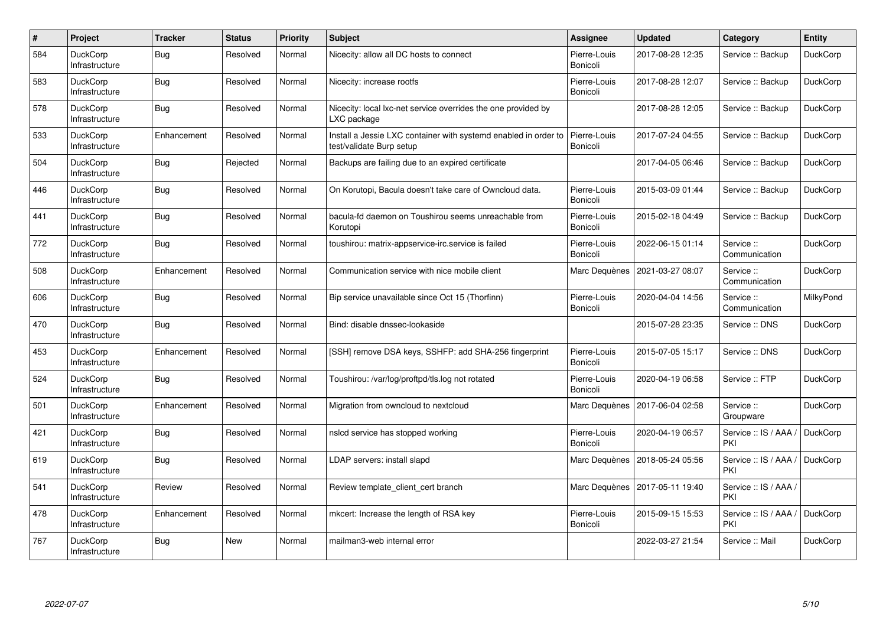| #   | Project                           | <b>Tracker</b> | <b>Status</b> | <b>Priority</b> | <b>Subject</b>                                                                              | Assignee                 | <b>Updated</b>   | Category                     | <b>Entity</b>   |
|-----|-----------------------------------|----------------|---------------|-----------------|---------------------------------------------------------------------------------------------|--------------------------|------------------|------------------------------|-----------------|
| 584 | <b>DuckCorp</b><br>Infrastructure | <b>Bug</b>     | Resolved      | Normal          | Nicecity: allow all DC hosts to connect                                                     | Pierre-Louis<br>Bonicoli | 2017-08-28 12:35 | Service :: Backup            | <b>DuckCorp</b> |
| 583 | <b>DuckCorp</b><br>Infrastructure | Bug            | Resolved      | Normal          | Nicecity: increase rootfs                                                                   | Pierre-Louis<br>Bonicoli | 2017-08-28 12:07 | Service :: Backup            | <b>DuckCorp</b> |
| 578 | <b>DuckCorp</b><br>Infrastructure | <b>Bug</b>     | Resolved      | Normal          | Nicecity: local lxc-net service overrides the one provided by<br>LXC package                |                          | 2017-08-28 12:05 | Service :: Backup            | <b>DuckCorp</b> |
| 533 | DuckCorp<br>Infrastructure        | Enhancement    | Resolved      | Normal          | Install a Jessie LXC container with systemd enabled in order to<br>test/validate Burp setup | Pierre-Louis<br>Bonicoli | 2017-07-24 04:55 | Service :: Backup            | <b>DuckCorp</b> |
| 504 | <b>DuckCorp</b><br>Infrastructure | <b>Bug</b>     | Rejected      | Normal          | Backups are failing due to an expired certificate                                           |                          | 2017-04-05 06:46 | Service :: Backup            | <b>DuckCorp</b> |
| 446 | <b>DuckCorp</b><br>Infrastructure | Bug            | Resolved      | Normal          | On Korutopi, Bacula doesn't take care of Owncloud data.                                     | Pierre-Louis<br>Bonicoli | 2015-03-09 01:44 | Service :: Backup            | DuckCorp        |
| 441 | <b>DuckCorp</b><br>Infrastructure | Bug            | Resolved      | Normal          | bacula-fd daemon on Toushirou seems unreachable from<br>Korutopi                            | Pierre-Louis<br>Bonicoli | 2015-02-18 04:49 | Service :: Backup            | <b>DuckCorp</b> |
| 772 | <b>DuckCorp</b><br>Infrastructure | Bug            | Resolved      | Normal          | toushirou: matrix-appservice-irc.service is failed                                          | Pierre-Louis<br>Bonicoli | 2022-06-15 01:14 | Service:<br>Communication    | <b>DuckCorp</b> |
| 508 | <b>DuckCorp</b><br>Infrastructure | Enhancement    | Resolved      | Normal          | Communication service with nice mobile client                                               | Marc Dequènes            | 2021-03-27 08:07 | Service:<br>Communication    | <b>DuckCorp</b> |
| 606 | <b>DuckCorp</b><br>Infrastructure | Bug            | Resolved      | Normal          | Bip service unavailable since Oct 15 (Thorfinn)                                             | Pierre-Louis<br>Bonicoli | 2020-04-04 14:56 | Service:<br>Communication    | MilkyPond       |
| 470 | <b>DuckCorp</b><br>Infrastructure | Bug            | Resolved      | Normal          | Bind: disable dnssec-lookaside                                                              |                          | 2015-07-28 23:35 | Service: DNS                 | <b>DuckCorp</b> |
| 453 | <b>DuckCorp</b><br>Infrastructure | Enhancement    | Resolved      | Normal          | [SSH] remove DSA keys, SSHFP: add SHA-256 fingerprint                                       | Pierre-Louis<br>Bonicoli | 2015-07-05 15:17 | Service :: DNS               | <b>DuckCorp</b> |
| 524 | <b>DuckCorp</b><br>Infrastructure | Bug            | Resolved      | Normal          | Toushirou: /var/log/proftpd/tls.log not rotated                                             | Pierre-Louis<br>Bonicoli | 2020-04-19 06:58 | Service :: FTP               | <b>DuckCorp</b> |
| 501 | <b>DuckCorp</b><br>Infrastructure | Enhancement    | Resolved      | Normal          | Migration from owncloud to nextcloud                                                        | Marc Dequènes            | 2017-06-04 02:58 | Service ::<br>Groupware      | <b>DuckCorp</b> |
| 421 | <b>DuckCorp</b><br>Infrastructure | Bug            | Resolved      | Normal          | nslcd service has stopped working                                                           | Pierre-Louis<br>Bonicoli | 2020-04-19 06:57 | Service :: IS / AAA /<br>PKI | DuckCorp        |
| 619 | <b>DuckCorp</b><br>Infrastructure | Bug            | Resolved      | Normal          | LDAP servers: install slapd                                                                 | Marc Dequènes            | 2018-05-24 05:56 | Service :: IS / AAA /<br>PKI | <b>DuckCorp</b> |
| 541 | <b>DuckCorp</b><br>Infrastructure | Review         | Resolved      | Normal          | Review template client cert branch                                                          | Marc Dequènes            | 2017-05-11 19:40 | Service :: IS / AAA /<br>PKI |                 |
| 478 | <b>DuckCorp</b><br>Infrastructure | Enhancement    | Resolved      | Normal          | mkcert: Increase the length of RSA key                                                      | Pierre-Louis<br>Bonicoli | 2015-09-15 15:53 | Service :: IS / AAA /<br>PKI | <b>DuckCorp</b> |
| 767 | <b>DuckCorp</b><br>Infrastructure | Bug            | <b>New</b>    | Normal          | mailman3-web internal error                                                                 |                          | 2022-03-27 21:54 | Service :: Mail              | <b>DuckCorp</b> |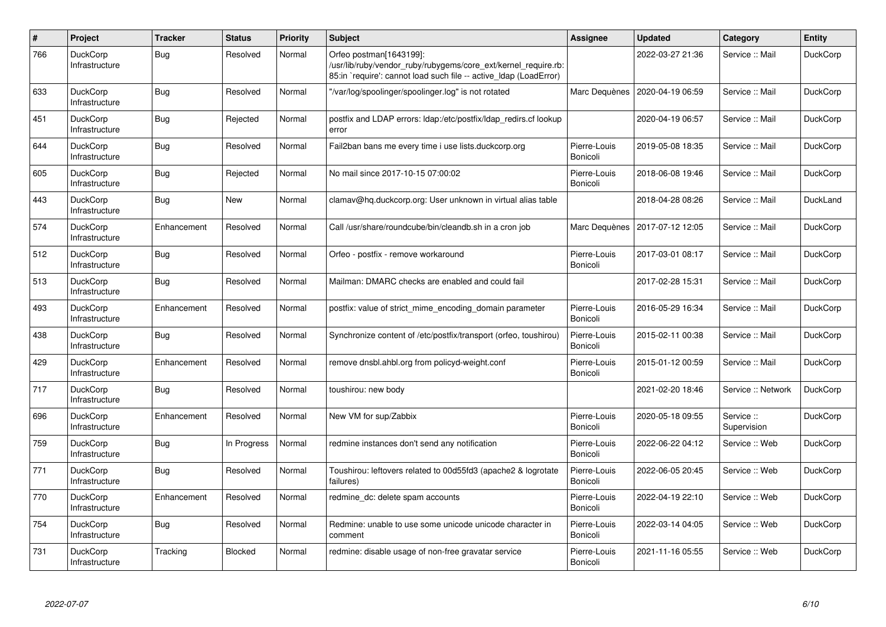| $\vert$ # | Project                           | <b>Tracker</b> | <b>Status</b> | <b>Priority</b> | <b>Subject</b>                                                                                                                                                 | Assignee                 | <b>Updated</b>   | Category                  | <b>Entity</b>   |
|-----------|-----------------------------------|----------------|---------------|-----------------|----------------------------------------------------------------------------------------------------------------------------------------------------------------|--------------------------|------------------|---------------------------|-----------------|
| 766       | <b>DuckCorp</b><br>Infrastructure | Bug            | Resolved      | Normal          | Orfeo postman[1643199]:<br>/usr/lib/ruby/vendor_ruby/rubygems/core_ext/kernel_require.rb:<br>85:in `require': cannot load such file -- active Idap (LoadError) |                          | 2022-03-27 21:36 | Service :: Mail           | <b>DuckCorp</b> |
| 633       | <b>DuckCorp</b><br>Infrastructure | Bug            | Resolved      | Normal          | "/var/log/spoolinger/spoolinger.log" is not rotated                                                                                                            | Marc Dequènes            | 2020-04-19 06:59 | Service :: Mail           | <b>DuckCorp</b> |
| 451       | <b>DuckCorp</b><br>Infrastructure | Bug            | Rejected      | Normal          | postfix and LDAP errors: Idap:/etc/postfix/Idap redirs.cf lookup<br>error                                                                                      |                          | 2020-04-19 06:57 | Service :: Mail           | <b>DuckCorp</b> |
| 644       | <b>DuckCorp</b><br>Infrastructure | Bug            | Resolved      | Normal          | Fail2ban bans me every time i use lists.duckcorp.org                                                                                                           | Pierre-Louis<br>Bonicoli | 2019-05-08 18:35 | Service :: Mail           | <b>DuckCorp</b> |
| 605       | <b>DuckCorp</b><br>Infrastructure | Bug            | Rejected      | Normal          | No mail since 2017-10-15 07:00:02                                                                                                                              | Pierre-Louis<br>Bonicoli | 2018-06-08 19:46 | Service :: Mail           | <b>DuckCorp</b> |
| 443       | <b>DuckCorp</b><br>Infrastructure | Bug            | <b>New</b>    | Normal          | clamav@hq.duckcorp.org: User unknown in virtual alias table                                                                                                    |                          | 2018-04-28 08:26 | Service :: Mail           | DuckLand        |
| 574       | <b>DuckCorp</b><br>Infrastructure | Enhancement    | Resolved      | Normal          | Call /usr/share/roundcube/bin/cleandb.sh in a cron job                                                                                                         | Marc Dequènes            | 2017-07-12 12:05 | Service :: Mail           | DuckCorp        |
| 512       | <b>DuckCorp</b><br>Infrastructure | Bug            | Resolved      | Normal          | Orfeo - postfix - remove workaround                                                                                                                            | Pierre-Louis<br>Bonicoli | 2017-03-01 08:17 | Service :: Mail           | <b>DuckCorp</b> |
| 513       | <b>DuckCorp</b><br>Infrastructure | Bug            | Resolved      | Normal          | Mailman: DMARC checks are enabled and could fail                                                                                                               |                          | 2017-02-28 15:31 | Service :: Mail           | <b>DuckCorp</b> |
| 493       | <b>DuckCorp</b><br>Infrastructure | Enhancement    | Resolved      | Normal          | postfix: value of strict mime encoding domain parameter                                                                                                        | Pierre-Louis<br>Bonicoli | 2016-05-29 16:34 | Service :: Mail           | <b>DuckCorp</b> |
| 438       | <b>DuckCorp</b><br>Infrastructure | Bug            | Resolved      | Normal          | Synchronize content of /etc/postfix/transport (orfeo, toushirou)                                                                                               | Pierre-Louis<br>Bonicoli | 2015-02-11 00:38 | Service :: Mail           | <b>DuckCorp</b> |
| 429       | <b>DuckCorp</b><br>Infrastructure | Enhancement    | Resolved      | Normal          | remove dnsbl.ahbl.org from policyd-weight.conf                                                                                                                 | Pierre-Louis<br>Bonicoli | 2015-01-12 00:59 | Service :: Mail           | <b>DuckCorp</b> |
| 717       | <b>DuckCorp</b><br>Infrastructure | Bug            | Resolved      | Normal          | toushirou: new body                                                                                                                                            |                          | 2021-02-20 18:46 | Service :: Network        | <b>DuckCorp</b> |
| 696       | <b>DuckCorp</b><br>Infrastructure | Enhancement    | Resolved      | Normal          | New VM for sup/Zabbix                                                                                                                                          | Pierre-Louis<br>Bonicoli | 2020-05-18 09:55 | Service ::<br>Supervision | <b>DuckCorp</b> |
| 759       | <b>DuckCorp</b><br>Infrastructure | <b>Bug</b>     | In Progress   | Normal          | redmine instances don't send any notification                                                                                                                  | Pierre-Louis<br>Bonicoli | 2022-06-22 04:12 | Service :: Web            | <b>DuckCorp</b> |
| 771       | <b>DuckCorp</b><br>Infrastructure | Bug            | Resolved      | Normal          | Toushirou: leftovers related to 00d55fd3 (apache2 & logrotate<br>failures)                                                                                     | Pierre-Louis<br>Bonicoli | 2022-06-05 20:45 | Service: Web              | <b>DuckCorp</b> |
| 770       | <b>DuckCorp</b><br>Infrastructure | Enhancement    | Resolved      | Normal          | redmine dc: delete spam accounts                                                                                                                               | Pierre-Louis<br>Bonicoli | 2022-04-19 22:10 | Service :: Web            | <b>DuckCorp</b> |
| 754       | <b>DuckCorp</b><br>Infrastructure | Bug            | Resolved      | Normal          | Redmine: unable to use some unicode unicode character in<br>comment                                                                                            | Pierre-Louis<br>Bonicoli | 2022-03-14 04:05 | Service :: Web            | <b>DuckCorp</b> |
| 731       | <b>DuckCorp</b><br>Infrastructure | Tracking       | Blocked       | Normal          | redmine: disable usage of non-free gravatar service                                                                                                            | Pierre-Louis<br>Bonicoli | 2021-11-16 05:55 | Service :: Web            | <b>DuckCorp</b> |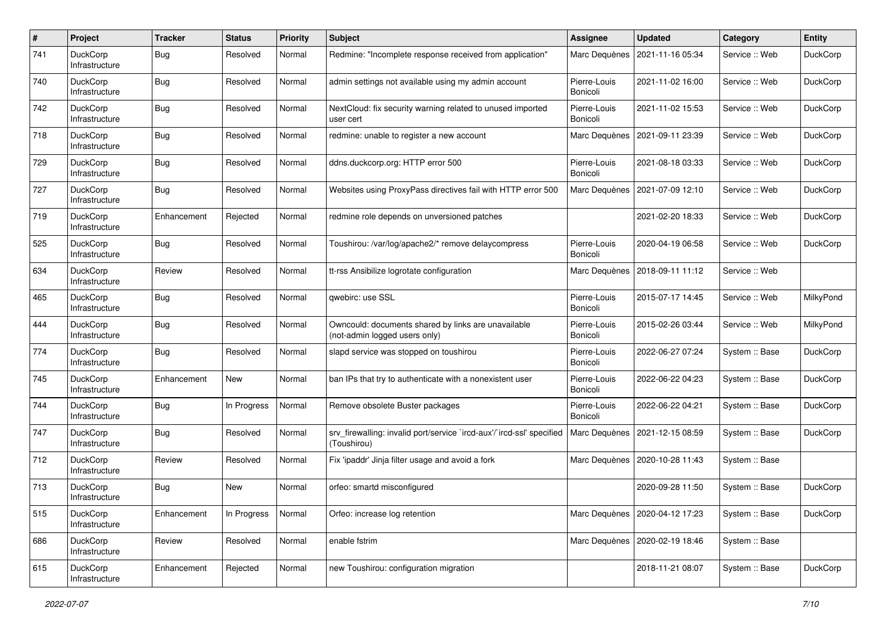| $\sharp$ | Project                           | <b>Tracker</b> | <b>Status</b> | <b>Priority</b> | Subject                                                                              | <b>Assignee</b>          | <b>Updated</b>                   | Category       | <b>Entity</b>   |
|----------|-----------------------------------|----------------|---------------|-----------------|--------------------------------------------------------------------------------------|--------------------------|----------------------------------|----------------|-----------------|
| 741      | DuckCorp<br>Infrastructure        | Bug            | Resolved      | Normal          | Redmine: "Incomplete response received from application"                             | Marc Dequènes            | 2021-11-16 05:34                 | Service :: Web | <b>DuckCorp</b> |
| 740      | <b>DuckCorp</b><br>Infrastructure | Bug            | Resolved      | Normal          | admin settings not available using my admin account                                  | Pierre-Louis<br>Bonicoli | 2021-11-02 16:00                 | Service :: Web | <b>DuckCorp</b> |
| 742      | DuckCorp<br>Infrastructure        | Bug            | Resolved      | Normal          | NextCloud: fix security warning related to unused imported<br>user cert              | Pierre-Louis<br>Bonicoli | 2021-11-02 15:53                 | Service :: Web | <b>DuckCorp</b> |
| 718      | <b>DuckCorp</b><br>Infrastructure | Bug            | Resolved      | Normal          | redmine: unable to register a new account                                            | Marc Dequènes            | 2021-09-11 23:39                 | Service: Web   | DuckCorp        |
| 729      | DuckCorp<br>Infrastructure        | Bug            | Resolved      | Normal          | ddns.duckcorp.org: HTTP error 500                                                    | Pierre-Louis<br>Bonicoli | 2021-08-18 03:33                 | Service :: Web | DuckCorp        |
| 727      | DuckCorp<br>Infrastructure        | Bug            | Resolved      | Normal          | Websites using ProxyPass directives fail with HTTP error 500                         | Marc Dequènes            | 2021-07-09 12:10                 | Service :: Web | <b>DuckCorp</b> |
| 719      | <b>DuckCorp</b><br>Infrastructure | Enhancement    | Rejected      | Normal          | redmine role depends on unversioned patches                                          |                          | 2021-02-20 18:33                 | Service: Web   | <b>DuckCorp</b> |
| 525      | DuckCorp<br>Infrastructure        | Bug            | Resolved      | Normal          | Toushirou: /var/log/apache2/* remove delaycompress                                   | Pierre-Louis<br>Bonicoli | 2020-04-19 06:58                 | Service: Web   | DuckCorp        |
| 634      | <b>DuckCorp</b><br>Infrastructure | Review         | Resolved      | Normal          | tt-rss Ansibilize logrotate configuration                                            | Marc Dequènes            | 2018-09-11 11:12                 | Service :: Web |                 |
| 465      | DuckCorp<br>Infrastructure        | <b>Bug</b>     | Resolved      | Normal          | qwebirc: use SSL                                                                     | Pierre-Louis<br>Bonicoli | 2015-07-17 14:45                 | Service: Web   | MilkyPond       |
| 444      | <b>DuckCorp</b><br>Infrastructure | <b>Bug</b>     | Resolved      | Normal          | Owncould: documents shared by links are unavailable<br>(not-admin logged users only) | Pierre-Louis<br>Bonicoli | 2015-02-26 03:44                 | Service: Web   | MilkyPond       |
| 774      | DuckCorp<br>Infrastructure        | Bug            | Resolved      | Normal          | slapd service was stopped on toushirou                                               | Pierre-Louis<br>Bonicoli | 2022-06-27 07:24                 | System :: Base | DuckCorp        |
| 745      | DuckCorp<br>Infrastructure        | Enhancement    | New           | Normal          | ban IPs that try to authenticate with a nonexistent user                             | Pierre-Louis<br>Bonicoli | 2022-06-22 04:23                 | System :: Base | <b>DuckCorp</b> |
| 744      | <b>DuckCorp</b><br>Infrastructure | Bug            | In Progress   | Normal          | Remove obsolete Buster packages                                                      | Pierre-Louis<br>Bonicoli | 2022-06-22 04:21                 | System :: Base | <b>DuckCorp</b> |
| 747      | DuckCorp<br>Infrastructure        | Bug            | Resolved      | Normal          | srv_firewalling: invalid port/service `ircd-aux'/`ircd-ssl' specified<br>(Toushirou) | Marc Dequènes            | 2021-12-15 08:59                 | System :: Base | DuckCorp        |
| 712      | DuckCorp<br>Infrastructure        | Review         | Resolved      | Normal          | Fix 'ipaddr' Jinja filter usage and avoid a fork                                     | Marc Dequènes            | 2020-10-28 11:43                 | System :: Base |                 |
| 713      | DuckCorp<br>Infrastructure        | Bug            | New           | Normal          | orfeo: smartd misconfigured                                                          |                          | 2020-09-28 11:50                 | System :: Base | DuckCorp        |
| 515      | DuckCorp<br>Infrastructure        | Enhancement    | In Progress   | Normal          | Orfeo: increase log retention                                                        |                          | Marc Dequènes   2020-04-12 17:23 | System :: Base | <b>DuckCorp</b> |
| 686      | DuckCorp<br>Infrastructure        | Review         | Resolved      | Normal          | enable fstrim                                                                        | Marc Dequènes            | 2020-02-19 18:46                 | System :: Base |                 |
| 615      | DuckCorp<br>Infrastructure        | Enhancement    | Rejected      | Normal          | new Toushirou: configuration migration                                               |                          | 2018-11-21 08:07                 | System :: Base | DuckCorp        |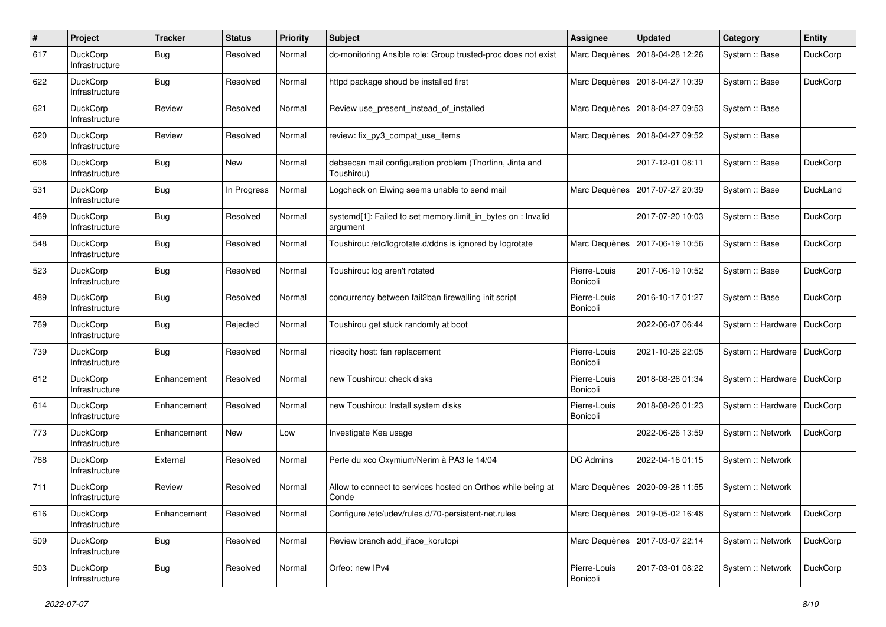| $\sharp$ | Project                           | <b>Tracker</b> | <b>Status</b> | <b>Priority</b> | Subject                                                                  | <b>Assignee</b>          | <b>Updated</b>                   | Category           | <b>Entity</b>   |
|----------|-----------------------------------|----------------|---------------|-----------------|--------------------------------------------------------------------------|--------------------------|----------------------------------|--------------------|-----------------|
| 617      | DuckCorp<br>Infrastructure        | Bug            | Resolved      | Normal          | dc-monitoring Ansible role: Group trusted-proc does not exist            | Marc Dequènes            | 2018-04-28 12:26                 | System :: Base     | DuckCorp        |
| 622      | DuckCorp<br>Infrastructure        | Bug            | Resolved      | Normal          | httpd package shoud be installed first                                   | Marc Dequènes            | 2018-04-27 10:39                 | System :: Base     | DuckCorp        |
| 621      | DuckCorp<br>Infrastructure        | Review         | Resolved      | Normal          | Review use present instead of installed                                  | Marc Dequènes            | 2018-04-27 09:53                 | System :: Base     |                 |
| 620      | <b>DuckCorp</b><br>Infrastructure | Review         | Resolved      | Normal          | review: fix_py3_compat_use_items                                         |                          | Marc Dequènes   2018-04-27 09:52 | System :: Base     |                 |
| 608      | DuckCorp<br>Infrastructure        | Bug            | New           | Normal          | debsecan mail configuration problem (Thorfinn, Jinta and<br>Toushirou)   |                          | 2017-12-01 08:11                 | System :: Base     | DuckCorp        |
| 531      | DuckCorp<br>Infrastructure        | Bug            | In Progress   | Normal          | Logcheck on Elwing seems unable to send mail                             | Marc Dequènes            | 2017-07-27 20:39                 | System :: Base     | DuckLand        |
| 469      | <b>DuckCorp</b><br>Infrastructure | Bug            | Resolved      | Normal          | systemd[1]: Failed to set memory.limit_in_bytes on : Invalid<br>argument |                          | 2017-07-20 10:03                 | System :: Base     | DuckCorp        |
| 548      | DuckCorp<br>Infrastructure        | Bug            | Resolved      | Normal          | Toushirou: /etc/logrotate.d/ddns is ignored by logrotate                 | Marc Dequènes            | 2017-06-19 10:56                 | System :: Base     | DuckCorp        |
| 523      | DuckCorp<br>Infrastructure        | Bug            | Resolved      | Normal          | Toushirou: log aren't rotated                                            | Pierre-Louis<br>Bonicoli | 2017-06-19 10:52                 | System :: Base     | DuckCorp        |
| 489      | DuckCorp<br>Infrastructure        | Bug            | Resolved      | Normal          | concurrency between fail2ban firewalling init script                     | Pierre-Louis<br>Bonicoli | 2016-10-17 01:27                 | System :: Base     | DuckCorp        |
| 769      | <b>DuckCorp</b><br>Infrastructure | <b>Bug</b>     | Rejected      | Normal          | Toushirou get stuck randomly at boot                                     |                          | 2022-06-07 06:44                 | System :: Hardware | DuckCorp        |
| 739      | DuckCorp<br>Infrastructure        | Bug            | Resolved      | Normal          | nicecity host: fan replacement                                           | Pierre-Louis<br>Bonicoli | 2021-10-26 22:05                 | System :: Hardware | DuckCorp        |
| 612      | <b>DuckCorp</b><br>Infrastructure | Enhancement    | Resolved      | Normal          | new Toushirou: check disks                                               | Pierre-Louis<br>Bonicoli | 2018-08-26 01:34                 | System :: Hardware | DuckCorp        |
| 614      | DuckCorp<br>Infrastructure        | Enhancement    | Resolved      | Normal          | new Toushirou: Install system disks                                      | Pierre-Louis<br>Bonicoli | 2018-08-26 01:23                 | System :: Hardware | DuckCorp        |
| 773      | DuckCorp<br>Infrastructure        | Enhancement    | New           | Low             | Investigate Kea usage                                                    |                          | 2022-06-26 13:59                 | System :: Network  | DuckCorp        |
| 768      | DuckCorp<br>Infrastructure        | External       | Resolved      | Normal          | Perte du xco Oxymium/Nerim à PA3 le 14/04                                | DC Admins                | 2022-04-16 01:15                 | System :: Network  |                 |
| 711      | DuckCorp<br>Infrastructure        | Review         | Resolved      | Normal          | Allow to connect to services hosted on Orthos while being at<br>Conde    | Marc Dequènes            | 2020-09-28 11:55                 | System :: Network  |                 |
| 616      | DuckCorp<br>Infrastructure        | Enhancement    | Resolved      | Normal          | Configure /etc/udev/rules.d/70-persistent-net.rules                      |                          | Marc Dequènes   2019-05-02 16:48 | System :: Network  | DuckCorp        |
| 509      | DuckCorp<br>Infrastructure        | <b>Bug</b>     | Resolved      | Normal          | Review branch add iface korutopi                                         |                          | Marc Dequènes   2017-03-07 22:14 | System :: Network  | <b>DuckCorp</b> |
| 503      | DuckCorp<br>Infrastructure        | <b>Bug</b>     | Resolved      | Normal          | Orfeo: new IPv4                                                          | Pierre-Louis<br>Bonicoli | 2017-03-01 08:22                 | System :: Network  | DuckCorp        |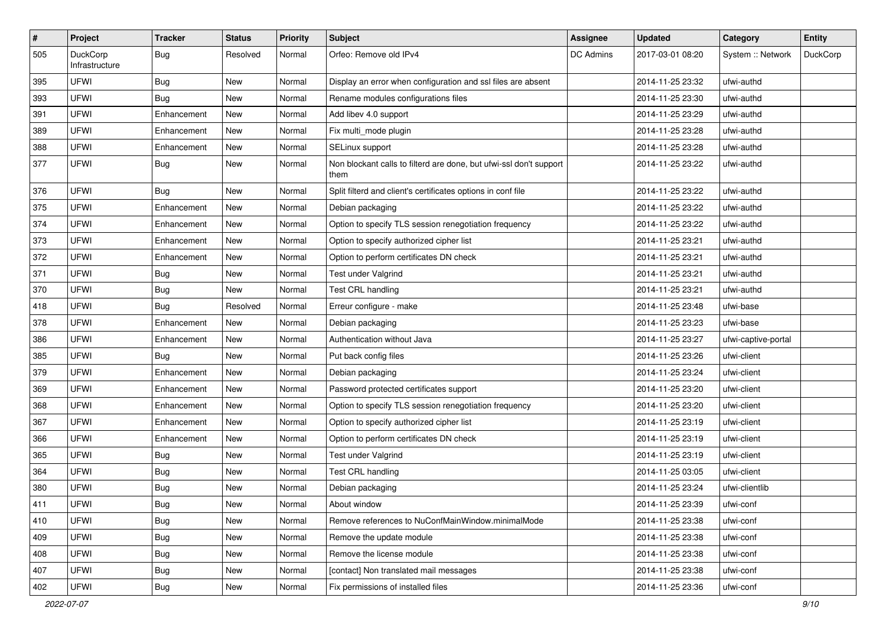| $\#$ | Project                    | <b>Tracker</b> | <b>Status</b> | <b>Priority</b> | Subject                                                                    | Assignee         | <b>Updated</b>   | Category            | <b>Entity</b> |
|------|----------------------------|----------------|---------------|-----------------|----------------------------------------------------------------------------|------------------|------------------|---------------------|---------------|
| 505  | DuckCorp<br>Infrastructure | Bug            | Resolved      | Normal          | Orfeo: Remove old IPv4                                                     | <b>DC Admins</b> | 2017-03-01 08:20 | System :: Network   | DuckCorp      |
| 395  | UFWI                       | Bug            | New           | Normal          | Display an error when configuration and ssl files are absent               |                  | 2014-11-25 23:32 | ufwi-authd          |               |
| 393  | <b>UFWI</b>                | <b>Bug</b>     | <b>New</b>    | Normal          | Rename modules configurations files                                        |                  | 2014-11-25 23:30 | ufwi-authd          |               |
| 391  | <b>UFWI</b>                | Enhancement    | New           | Normal          | Add libev 4.0 support                                                      |                  | 2014-11-25 23:29 | ufwi-authd          |               |
| 389  | <b>UFWI</b>                | Enhancement    | New           | Normal          | Fix multi_mode plugin                                                      |                  | 2014-11-25 23:28 | ufwi-authd          |               |
| 388  | <b>UFWI</b>                | Enhancement    | <b>New</b>    | Normal          | SELinux support                                                            |                  | 2014-11-25 23:28 | ufwi-authd          |               |
| 377  | <b>UFWI</b>                | <b>Bug</b>     | New           | Normal          | Non blockant calls to filterd are done, but ufwi-ssl don't support<br>them |                  | 2014-11-25 23:22 | ufwi-authd          |               |
| 376  | <b>UFWI</b>                | <b>Bug</b>     | <b>New</b>    | Normal          | Split filterd and client's certificates options in conf file               |                  | 2014-11-25 23:22 | ufwi-authd          |               |
| 375  | <b>UFWI</b>                | Enhancement    | New           | Normal          | Debian packaging                                                           |                  | 2014-11-25 23:22 | ufwi-authd          |               |
| 374  | <b>UFWI</b>                | Enhancement    | New           | Normal          | Option to specify TLS session renegotiation frequency                      |                  | 2014-11-25 23:22 | ufwi-authd          |               |
| 373  | UFWI                       | Enhancement    | New           | Normal          | Option to specify authorized cipher list                                   |                  | 2014-11-25 23:21 | ufwi-authd          |               |
| 372  | <b>UFWI</b>                | Enhancement    | New           | Normal          | Option to perform certificates DN check                                    |                  | 2014-11-25 23:21 | ufwi-authd          |               |
| 371  | <b>UFWI</b>                | Bug            | <b>New</b>    | Normal          | Test under Valgrind                                                        |                  | 2014-11-25 23:21 | ufwi-authd          |               |
| 370  | <b>UFWI</b>                | Bug            | New           | Normal          | Test CRL handling                                                          |                  | 2014-11-25 23:21 | ufwi-authd          |               |
| 418  | <b>UFWI</b>                | Bug            | Resolved      | Normal          | Erreur configure - make                                                    |                  | 2014-11-25 23:48 | ufwi-base           |               |
| 378  | <b>UFWI</b>                | Enhancement    | <b>New</b>    | Normal          | Debian packaging                                                           |                  | 2014-11-25 23:23 | ufwi-base           |               |
| 386  | <b>UFWI</b>                | Enhancement    | New           | Normal          | Authentication without Java                                                |                  | 2014-11-25 23:27 | ufwi-captive-portal |               |
| 385  | <b>UFWI</b>                | Bug            | New           | Normal          | Put back config files                                                      |                  | 2014-11-25 23:26 | ufwi-client         |               |
| 379  | <b>UFWI</b>                | Enhancement    | New           | Normal          | Debian packaging                                                           |                  | 2014-11-25 23:24 | ufwi-client         |               |
| 369  | <b>UFWI</b>                | Enhancement    | New           | Normal          | Password protected certificates support                                    |                  | 2014-11-25 23:20 | ufwi-client         |               |
| 368  | <b>UFWI</b>                | Enhancement    | <b>New</b>    | Normal          | Option to specify TLS session renegotiation frequency                      |                  | 2014-11-25 23:20 | ufwi-client         |               |
| 367  | <b>UFWI</b>                | Enhancement    | New           | Normal          | Option to specify authorized cipher list                                   |                  | 2014-11-25 23:19 | ufwi-client         |               |
| 366  | <b>UFWI</b>                | Enhancement    | New           | Normal          | Option to perform certificates DN check                                    |                  | 2014-11-25 23:19 | ufwi-client         |               |
| 365  | <b>UFWI</b>                | <b>Bug</b>     | New           | Normal          | Test under Valgrind                                                        |                  | 2014-11-25 23:19 | ufwi-client         |               |
| 364  | <b>UFWI</b>                | Bug            | New           | Normal          | Test CRL handling                                                          |                  | 2014-11-25 03:05 | ufwi-client         |               |
| 380  | <b>UFWI</b>                | <b>Bug</b>     | <b>New</b>    | Normal          | Debian packaging                                                           |                  | 2014-11-25 23:24 | ufwi-clientlib      |               |
| 411  | UFWI                       | <b>Bug</b>     | New           | Normal          | About window                                                               |                  | 2014-11-25 23:39 | ufwi-conf           |               |
| 410  | UFWI                       | <b>Bug</b>     | New           | Normal          | Remove references to NuConfMainWindow.minimalMode                          |                  | 2014-11-25 23:38 | ufwi-conf           |               |
| 409  | <b>UFWI</b>                | <b>Bug</b>     | New           | Normal          | Remove the update module                                                   |                  | 2014-11-25 23:38 | ufwi-conf           |               |
| 408  | UFWI                       | <b>Bug</b>     | New           | Normal          | Remove the license module                                                  |                  | 2014-11-25 23:38 | ufwi-conf           |               |
| 407  | <b>UFWI</b>                | Bug            | New           | Normal          | [contact] Non translated mail messages                                     |                  | 2014-11-25 23:38 | ufwi-conf           |               |
| 402  | UFWI                       | <b>Bug</b>     | New           | Normal          | Fix permissions of installed files                                         |                  | 2014-11-25 23:36 | ufwi-conf           |               |